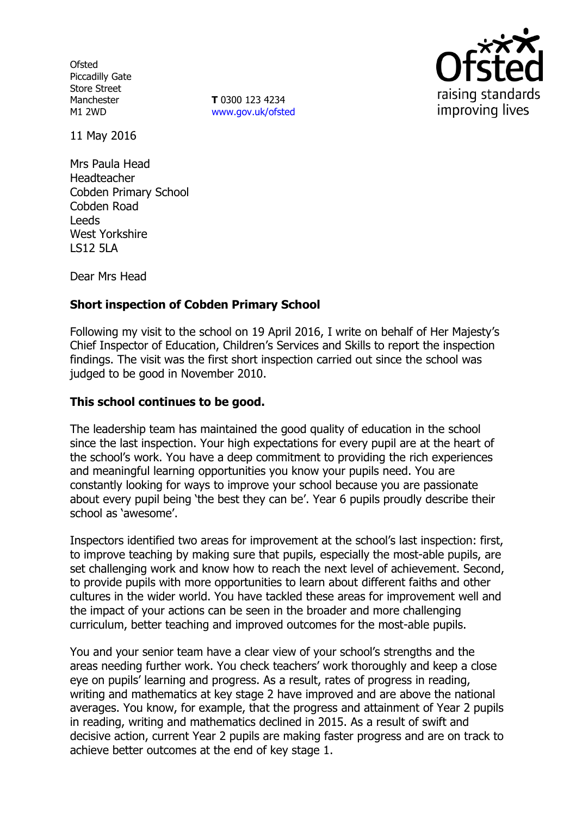**Ofsted** Piccadilly Gate Store Street **Manchester** M1 2WD

**T** 0300 123 4234 www.gov.uk/ofsted



11 May 2016

Mrs Paula Head Headteacher Cobden Primary School Cobden Road Leeds West Yorkshire LS12 5LA

Dear Mrs Head

# **Short inspection of Cobden Primary School**

Following my visit to the school on 19 April 2016, I write on behalf of Her Majesty's Chief Inspector of Education, Children's Services and Skills to report the inspection findings. The visit was the first short inspection carried out since the school was judged to be good in November 2010.

#### **This school continues to be good.**

The leadership team has maintained the good quality of education in the school since the last inspection. Your high expectations for every pupil are at the heart of the school's work. You have a deep commitment to providing the rich experiences and meaningful learning opportunities you know your pupils need. You are constantly looking for ways to improve your school because you are passionate about every pupil being 'the best they can be'. Year 6 pupils proudly describe their school as 'awesome'.

Inspectors identified two areas for improvement at the school's last inspection: first, to improve teaching by making sure that pupils, especially the most-able pupils, are set challenging work and know how to reach the next level of achievement. Second, to provide pupils with more opportunities to learn about different faiths and other cultures in the wider world. You have tackled these areas for improvement well and the impact of your actions can be seen in the broader and more challenging curriculum, better teaching and improved outcomes for the most-able pupils.

You and your senior team have a clear view of your school's strengths and the areas needing further work. You check teachers' work thoroughly and keep a close eye on pupils' learning and progress. As a result, rates of progress in reading, writing and mathematics at key stage 2 have improved and are above the national averages. You know, for example, that the progress and attainment of Year 2 pupils in reading, writing and mathematics declined in 2015. As a result of swift and decisive action, current Year 2 pupils are making faster progress and are on track to achieve better outcomes at the end of key stage 1.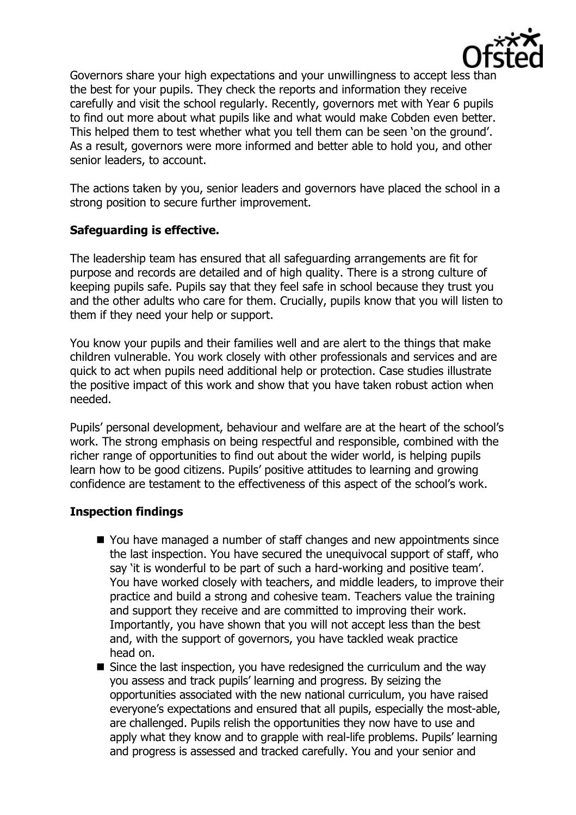

Governors share your high expectations and your unwillingness to accept less than the best for your pupils. They check the reports and information they receive carefully and visit the school regularly. Recently, governors met with Year 6 pupils to find out more about what pupils like and what would make Cobden even better. This helped them to test whether what you tell them can be seen 'on the ground'. As a result, governors were more informed and better able to hold you, and other senior leaders, to account.

The actions taken by you, senior leaders and governors have placed the school in a strong position to secure further improvement.

## **Safeguarding is effective.**

The leadership team has ensured that all safeguarding arrangements are fit for purpose and records are detailed and of high quality. There is a strong culture of keeping pupils safe. Pupils say that they feel safe in school because they trust you and the other adults who care for them. Crucially, pupils know that you will listen to them if they need your help or support.

You know your pupils and their families well and are alert to the things that make children vulnerable. You work closely with other professionals and services and are quick to act when pupils need additional help or protection. Case studies illustrate the positive impact of this work and show that you have taken robust action when needed.

Pupils' personal development, behaviour and welfare are at the heart of the school's work. The strong emphasis on being respectful and responsible, combined with the richer range of opportunities to find out about the wider world, is helping pupils learn how to be good citizens. Pupils' positive attitudes to learning and growing confidence are testament to the effectiveness of this aspect of the school's work.

#### **Inspection findings**

- You have managed a number of staff changes and new appointments since the last inspection. You have secured the unequivocal support of staff, who say 'it is wonderful to be part of such a hard-working and positive team'. You have worked closely with teachers, and middle leaders, to improve their practice and build a strong and cohesive team. Teachers value the training and support they receive and are committed to improving their work. Importantly, you have shown that you will not accept less than the best and, with the support of governors, you have tackled weak practice head on.
- $\blacksquare$  Since the last inspection, you have redesigned the curriculum and the way you assess and track pupils' learning and progress. By seizing the opportunities associated with the new national curriculum, you have raised everyone's expectations and ensured that all pupils, especially the most-able, are challenged. Pupils relish the opportunities they now have to use and apply what they know and to grapple with real-life problems. Pupils' learning and progress is assessed and tracked carefully. You and your senior and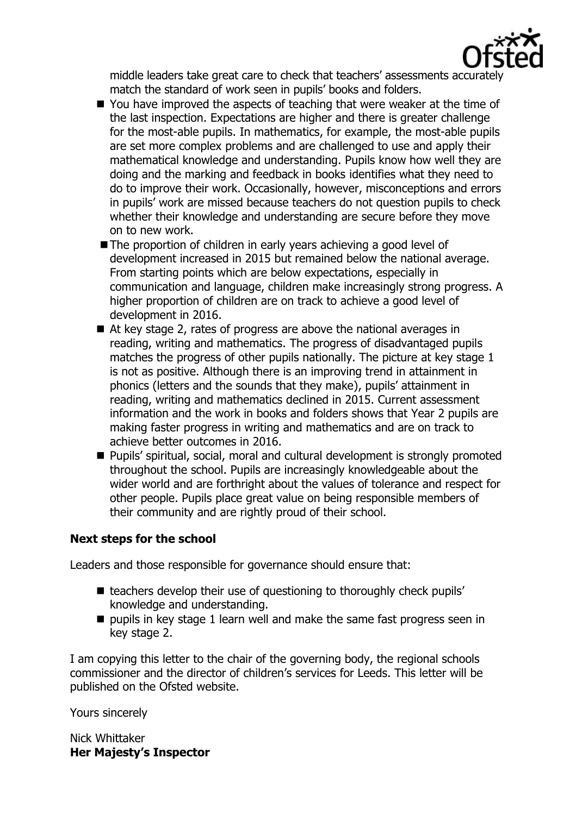

middle leaders take great care to check that teachers' assessments accurately match the standard of work seen in pupils' books and folders.

- You have improved the aspects of teaching that were weaker at the time of the last inspection. Expectations are higher and there is greater challenge for the most-able pupils. In mathematics, for example, the most-able pupils are set more complex problems and are challenged to use and apply their mathematical knowledge and understanding. Pupils know how well they are doing and the marking and feedback in books identifies what they need to do to improve their work. Occasionally, however, misconceptions and errors in pupils' work are missed because teachers do not question pupils to check whether their knowledge and understanding are secure before they move on to new work.
- The proportion of children in early years achieving a good level of development increased in 2015 but remained below the national average. From starting points which are below expectations, especially in communication and language, children make increasingly strong progress. A higher proportion of children are on track to achieve a good level of development in 2016.
- At key stage 2, rates of progress are above the national averages in reading, writing and mathematics. The progress of disadvantaged pupils matches the progress of other pupils nationally. The picture at key stage 1 is not as positive. Although there is an improving trend in attainment in phonics (letters and the sounds that they make), pupils' attainment in reading, writing and mathematics declined in 2015. Current assessment information and the work in books and folders shows that Year 2 pupils are making faster progress in writing and mathematics and are on track to achieve better outcomes in 2016.
- Pupils' spiritual, social, moral and cultural development is strongly promoted throughout the school. Pupils are increasingly knowledgeable about the wider world and are forthright about the values of tolerance and respect for other people. Pupils place great value on being responsible members of their community and are rightly proud of their school.

#### **Next steps for the school**

Leaders and those responsible for governance should ensure that:

- $\blacksquare$  teachers develop their use of questioning to thoroughly check pupils' knowledge and understanding.
- $\blacksquare$  pupils in key stage 1 learn well and make the same fast progress seen in key stage 2.

I am copying this letter to the chair of the governing body, the regional schools commissioner and the director of children's services for Leeds. This letter will be published on the Ofsted website.

Yours sincerely

Nick Whittaker **Her Majesty's Inspector**